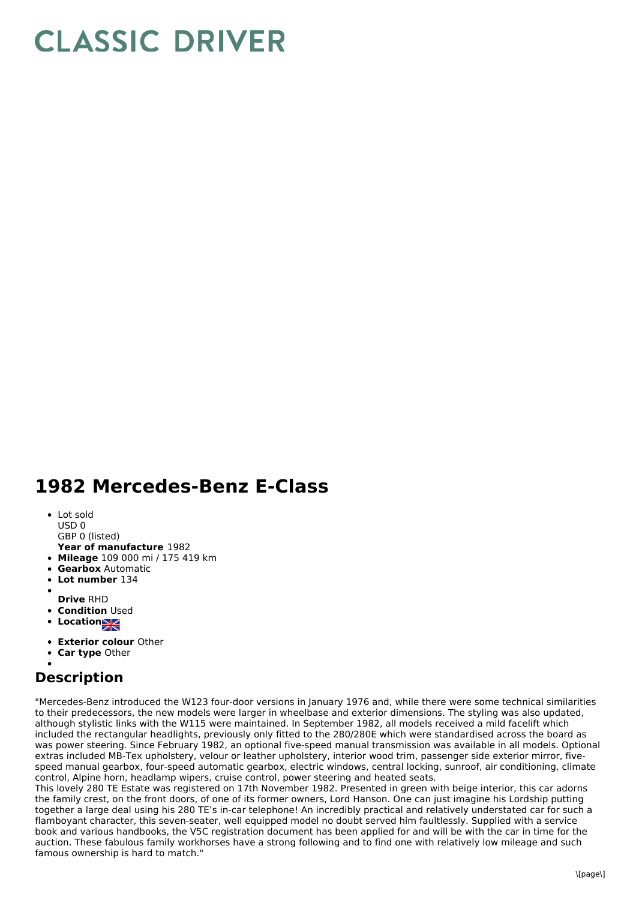## **CLASSIC DRIVER**

## **1982 Mercedes-Benz E-Class**

- Lot sold USD 0
- 
- **Year of manufacture** 1982 GBP 0 (listed)
- **Mileage** 109 000 mi / 175 419 km
- **Gearbox** Automatic
- **Lot number** 134
- 
- **Drive** RHD
- **Condition Used**
- Location**NE**
- 
- **Exterior colour** Other
- **Car type** Other

## **Description**

"Mercedes-Benz introduced the W123 four-door versions in January 1976 and, while there were some technical similarities to their predecessors, the new models were larger in wheelbase and exterior dimensions. The styling was also updated, although stylistic links with the W115 were maintained. In September 1982, all models received a mild facelift which included the rectangular headlights, previously only fitted to the 280/280E which were standardised across the board as was power steering. Since February 1982, an optional five-speed manual transmission was available in all models. Optional extras included MB-Tex upholstery, velour or leather upholstery, interior wood trim, passenger side exterior mirror, fivespeed manual gearbox, four-speed automatic gearbox, electric windows, central locking, sunroof, air conditioning, climate control, Alpine horn, headlamp wipers, cruise control, power steering and heated seats.

This lovely 280 TE Estate was registered on 17th November 1982. Presented in green with beige interior, this car adorns the family crest, on the front doors, of one of its former owners, Lord Hanson. One can just imagine his Lordship putting together a large deal using his 280 TE's in-car telephone! An incredibly practical and relatively understated car for such a flamboyant character, this seven-seater, well equipped model no doubt served him faultlessly. Supplied with a service book and various handbooks, the V5C registration document has been applied for and will be with the car in time for the auction. These fabulous family workhorses have a strong following and to find one with relatively low mileage and such famous ownership is hard to match."